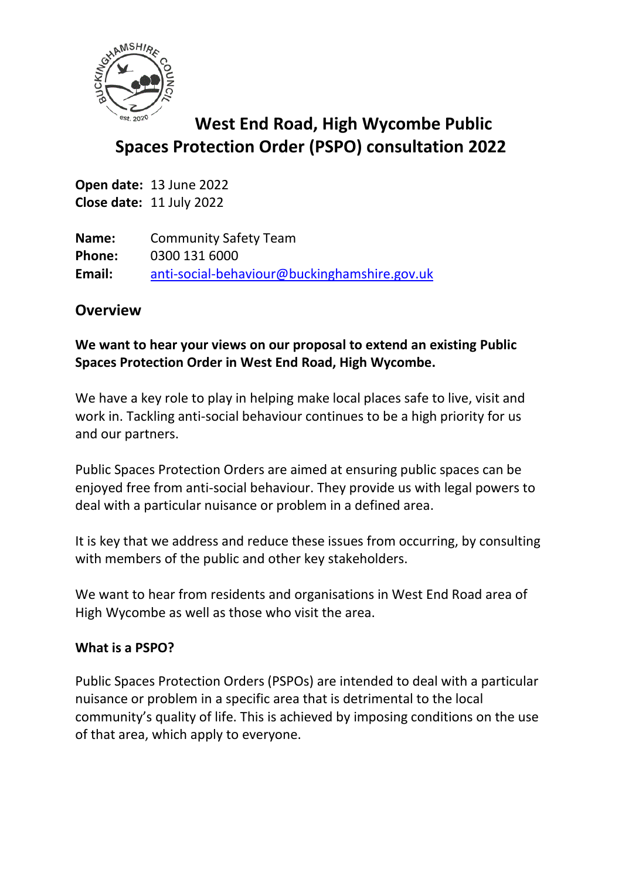

# **West End Road, High Wycombe Public Spaces Protection Order (PSPO) consultation 2022**

**Open date:** 13 June 2022 **Close date:** 11 July 2022

**Name:** Community Safety Team **Phone:** 0300 131 6000 **Email:** [anti-social-behaviour@buckinghamshire.gov.uk](mailto:anti-social-behaviour@buckinghamshire.gov.uk)

## **Overview**

### **We want to hear your views on our proposal to extend an existing Public Spaces Protection Order in West End Road, High Wycombe.**

We have a key role to play in helping make local places safe to live, visit and work in. Tackling anti-social behaviour continues to be a high priority for us and our partners.

Public Spaces Protection Orders are aimed at ensuring public spaces can be enjoyed free from anti-social behaviour. They provide us with legal powers to deal with a particular nuisance or problem in a defined area.

It is key that we address and reduce these issues from occurring, by consulting with members of the public and other key stakeholders.

We want to hear from residents and organisations in West End Road area of High Wycombe as well as those who visit the area.

#### **What is a PSPO?**

Public Spaces Protection Orders (PSPOs) are intended to deal with a particular nuisance or problem in a specific area that is detrimental to the local community's quality of life. This is achieved by imposing conditions on the use of that area, which apply to everyone.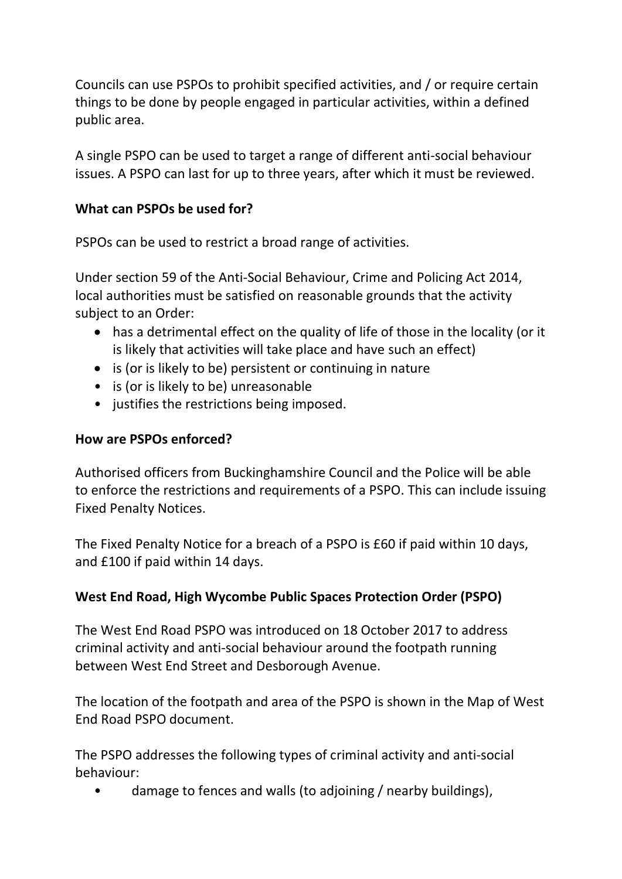Councils can use PSPOs to prohibit specified activities, and / or require certain things to be done by people engaged in particular activities, within a defined public area.

A single PSPO can be used to target a range of different anti-social behaviour issues. A PSPO can last for up to three years, after which it must be reviewed.

## **What can PSPOs be used for?**

PSPOs can be used to restrict a broad range of activities.

Under section 59 of the Anti-Social Behaviour, Crime and Policing Act 2014, local authorities must be satisfied on reasonable grounds that the activity subject to an Order:

- has a detrimental effect on the quality of life of those in the locality (or it is likely that activities will take place and have such an effect)
- is (or is likely to be) persistent or continuing in nature
- is (or is likely to be) unreasonable
- justifies the restrictions being imposed.

## **How are PSPOs enforced?**

Authorised officers from Buckinghamshire Council and the Police will be able to enforce the restrictions and requirements of a PSPO. This can include issuing Fixed Penalty Notices.

The Fixed Penalty Notice for a breach of a PSPO is £60 if paid within 10 days, and £100 if paid within 14 days.

## **West End Road, High Wycombe Public Spaces Protection Order (PSPO)**

The West End Road PSPO was introduced on 18 October 2017 to address criminal activity and anti-social behaviour around the footpath running between West End Street and Desborough Avenue.

The location of the footpath and area of the PSPO is shown in the Map of West End Road PSPO document.

The PSPO addresses the following types of criminal activity and anti-social behaviour:

• damage to fences and walls (to adjoining / nearby buildings),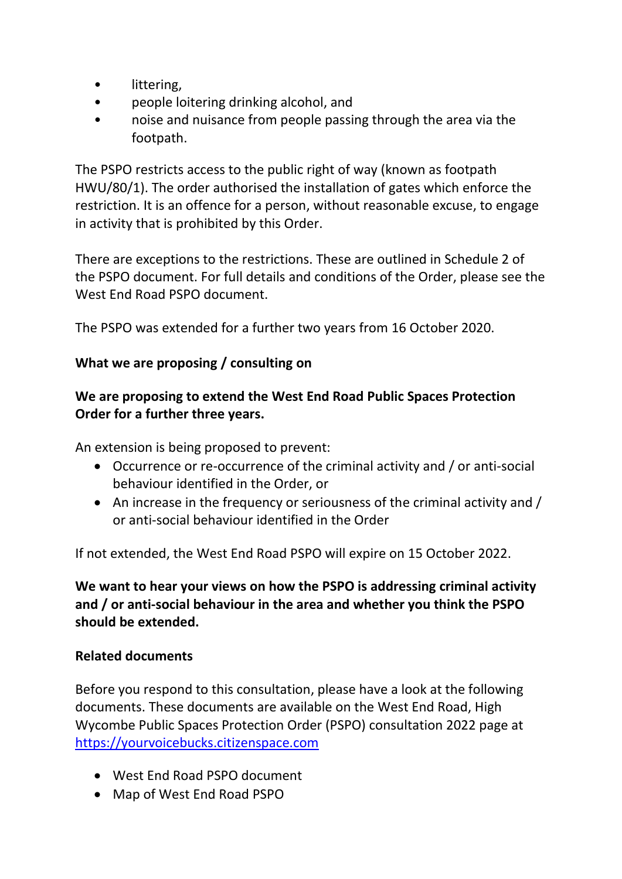- littering,
- people loitering drinking alcohol, and
- noise and nuisance from people passing through the area via the footpath.

The PSPO restricts access to the public right of way (known as footpath HWU/80/1). The order authorised the installation of gates which enforce the restriction. It is an offence for a person, without reasonable excuse, to engage in activity that is prohibited by this Order.

There are exceptions to the restrictions. These are outlined in Schedule 2 of the PSPO document. For full details and conditions of the Order, please see the West End Road PSPO document.

The PSPO was extended for a further two years from 16 October 2020.

#### **What we are proposing / consulting on**

## **We are proposing to extend the West End Road Public Spaces Protection Order for a further three years.**

An extension is being proposed to prevent:

- Occurrence or re-occurrence of the criminal activity and / or anti-social behaviour identified in the Order, or
- An increase in the frequency or seriousness of the criminal activity and / or anti-social behaviour identified in the Order

If not extended, the West End Road PSPO will expire on 15 October 2022.

**We want to hear your views on how the PSPO is addressing criminal activity and / or anti-social behaviour in the area and whether you think the PSPO should be extended.**

#### **Related documents**

Before you respond to this consultation, please have a look at the following documents. These documents are available on the West End Road, High Wycombe Public Spaces Protection Order (PSPO) consultation 2022 page at [https://yourvoicebucks.citizenspace.com](https://yourvoicebucks.citizenspace.com/)

- West End Road PSPO document
- Map of West End Road PSPO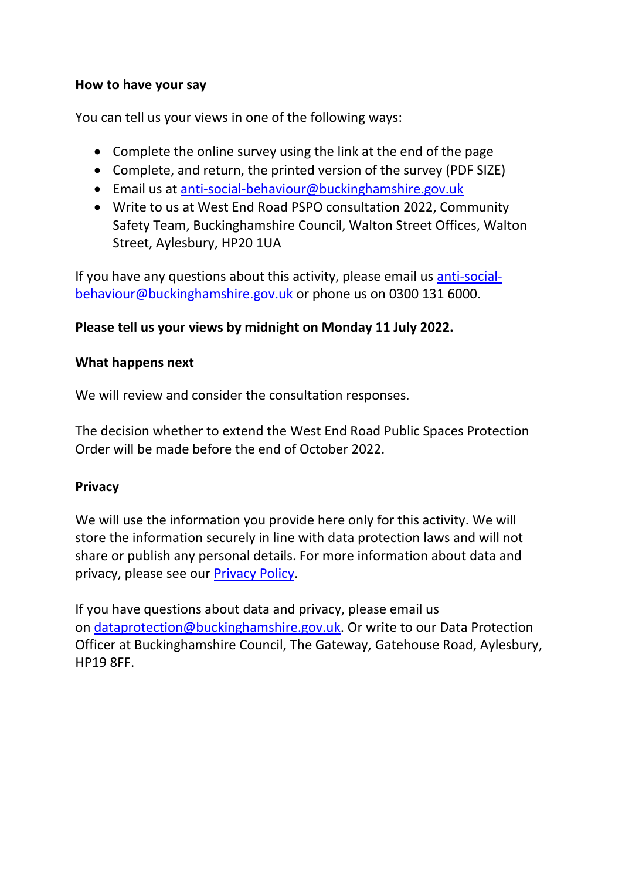#### **How to have your say**

You can tell us your views in one of the following ways:

- Complete the online survey using the link at the end of the page
- Complete, and return, the printed version of the survey (PDF SIZE)
- Email us at [anti-social-behaviour@buckinghamshire.gov.uk](mailto:anti-social-behaviour@buckinghamshire.gov.uk)
- Write to us at West End Road PSPO consultation 2022, Community Safety Team, Buckinghamshire Council, Walton Street Offices, Walton Street, Aylesbury, HP20 1UA

If you have any questions about this activity, please email us [anti-social](mailto:anti-social-behaviour@buckinghamshire.gov.uk)[behaviour@buckinghamshire.gov.uk](mailto:anti-social-behaviour@buckinghamshire.gov.uk) or phone us on 0300 131 6000.

## **Please tell us your views by midnight on Monday 11 July 2022.**

#### **What happens next**

We will review and consider the consultation responses.

The decision whether to extend the West End Road Public Spaces Protection Order will be made before the end of October 2022.

#### **Privacy**

We will use the information you provide here only for this activity. We will store the information securely in line with data protection laws and will not share or publish any personal details. For more information about data and privacy, please see our [Privacy Policy.](https://www.buckinghamshire.gov.uk/your-council/privacy/privacy-policy/)

If you have questions about data and privacy, please email us on [dataprotection@buckinghamshire.gov.uk.](mailto:dataprotection@buckinghamshire.gov.uk) Or write to our Data Protection Officer at Buckinghamshire Council, The Gateway, Gatehouse Road, Aylesbury, HP19 8FF.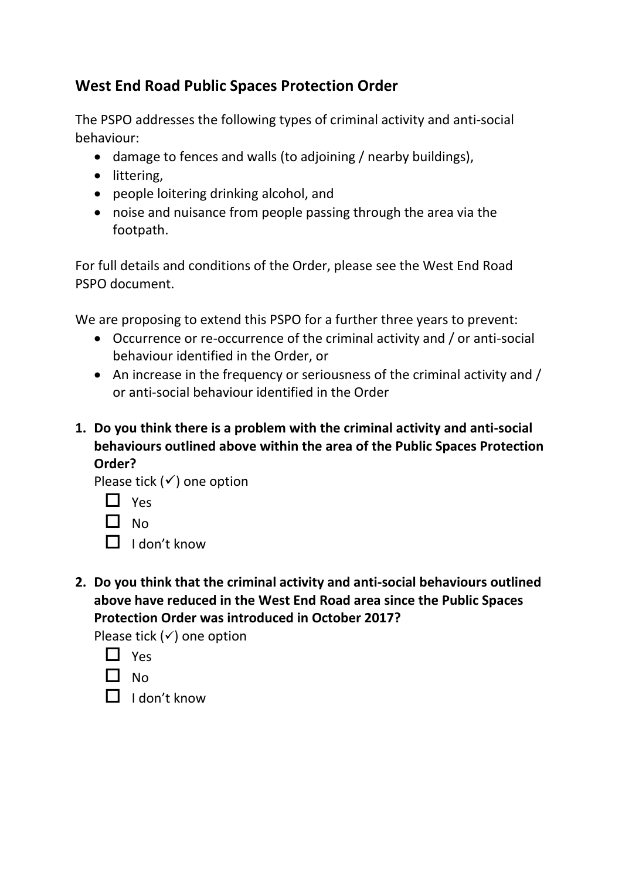## **West End Road Public Spaces Protection Order**

The PSPO addresses the following types of criminal activity and anti-social behaviour:

- damage to fences and walls (to adjoining / nearby buildings),
- littering,
- people loitering drinking alcohol, and
- noise and nuisance from people passing through the area via the footpath.

For full details and conditions of the Order, please see the West End Road PSPO document.

We are proposing to extend this PSPO for a further three years to prevent:

- Occurrence or re-occurrence of the criminal activity and / or anti-social behaviour identified in the Order, or
- An increase in the frequency or seriousness of the criminal activity and / or anti-social behaviour identified in the Order
- **1. Do you think there is a problem with the criminal activity and anti-social behaviours outlined above within the area of the Public Spaces Protection Order?**

Please tick  $(√)$  one option

- $\Box$  Yes
- $\Box$  No
- $\Box$  I don't know
- **2. Do you think that the criminal activity and anti-social behaviours outlined above have reduced in the West End Road area since the Public Spaces Protection Order was introduced in October 2017?**

Please tick  $($ ) one option

 $\Box$  No

 $\Box$  I don't know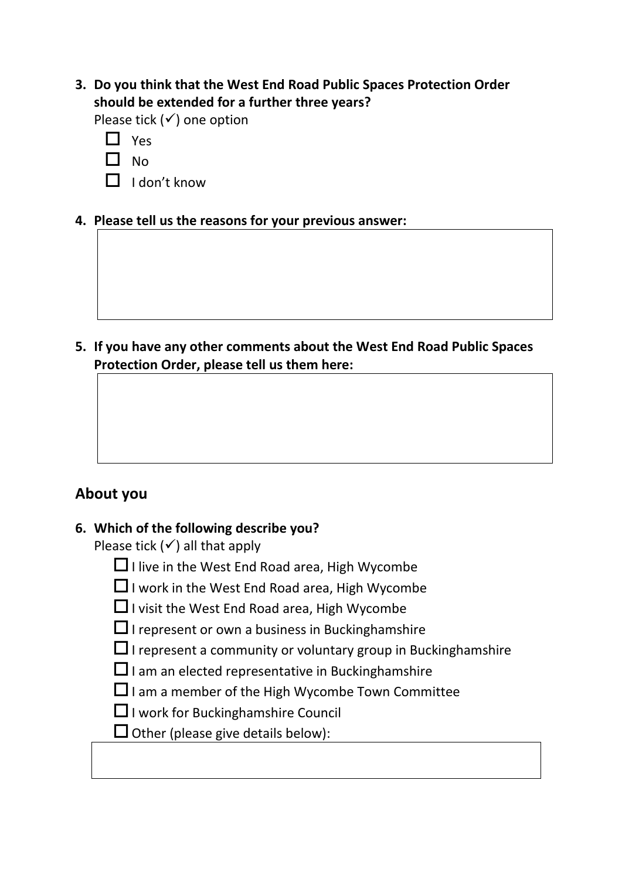**3. Do you think that the West End Road Public Spaces Protection Order should be extended for a further three years?**

Please tick  $(√)$  one option

- $\Box$  No
- $\Box$  I don't know
- **4. Please tell us the reasons for your previous answer:**

**5. If you have any other comments about the West End Road Public Spaces Protection Order, please tell us them here:**

## **About you**

## **6. Which of the following describe you?**

Please tick  $(√)$  all that apply

- $\Box$  I live in the West End Road area, High Wycombe
- $\Box$  I work in the West End Road area, High Wycombe
- $\Box$  I visit the West End Road area, High Wycombe
- $\Box$  I represent or own a business in Bucking hamshire
- $\Box$  I represent a community or voluntary group in Bucking hamshire
- $\square$  I am an elected representative in Buckinghamshire
- $\Box$  I am a member of the High Wycombe Town Committee
- $\Box$  I work for Bucking hamshire Council
- $\Box$  Other (please give details below):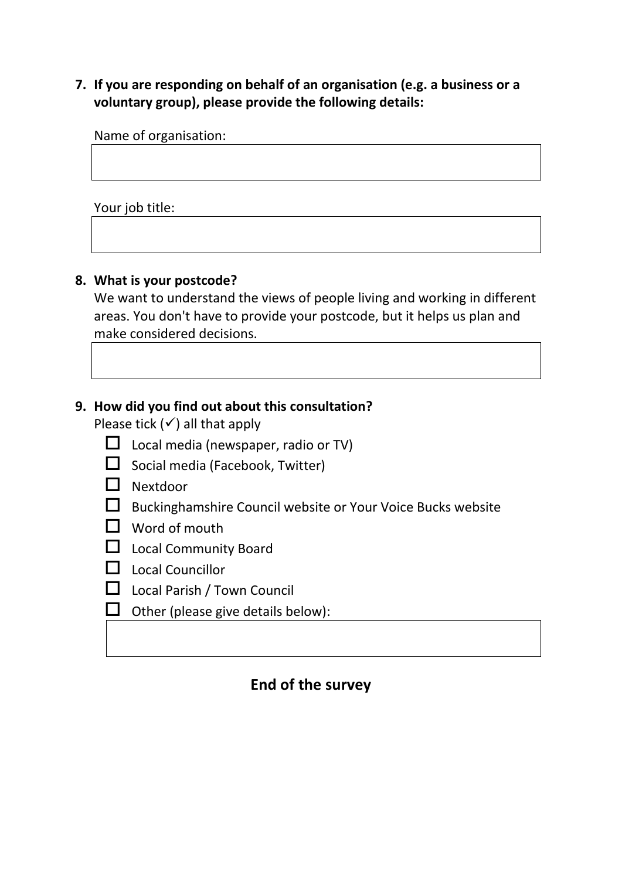### **7. If you are responding on behalf of an organisation (e.g. a business or a voluntary group), please provide the following details:**

Name of organisation:

Your job title:

#### **8. What is your postcode?**

We want to understand the views of people living and working in different areas. You don't have to provide your postcode, but it helps us plan and make considered decisions.

## **9. How did you find out about this consultation?**

Please tick  $($   $\checkmark$ ) all that apply

- $\Box$  Local media (newspaper, radio or TV)
- $\Box$  Social media (Facebook, Twitter)
- Nextdoor
- $\Box$  Buckinghamshire Council website or Your Voice Bucks website
- $\Box$  Word of mouth
- **Local Community Board**
- D Local Councillor
- $\Box$  Local Parish / Town Council
- $\Box$  Other (please give details below):

## **End of the survey**